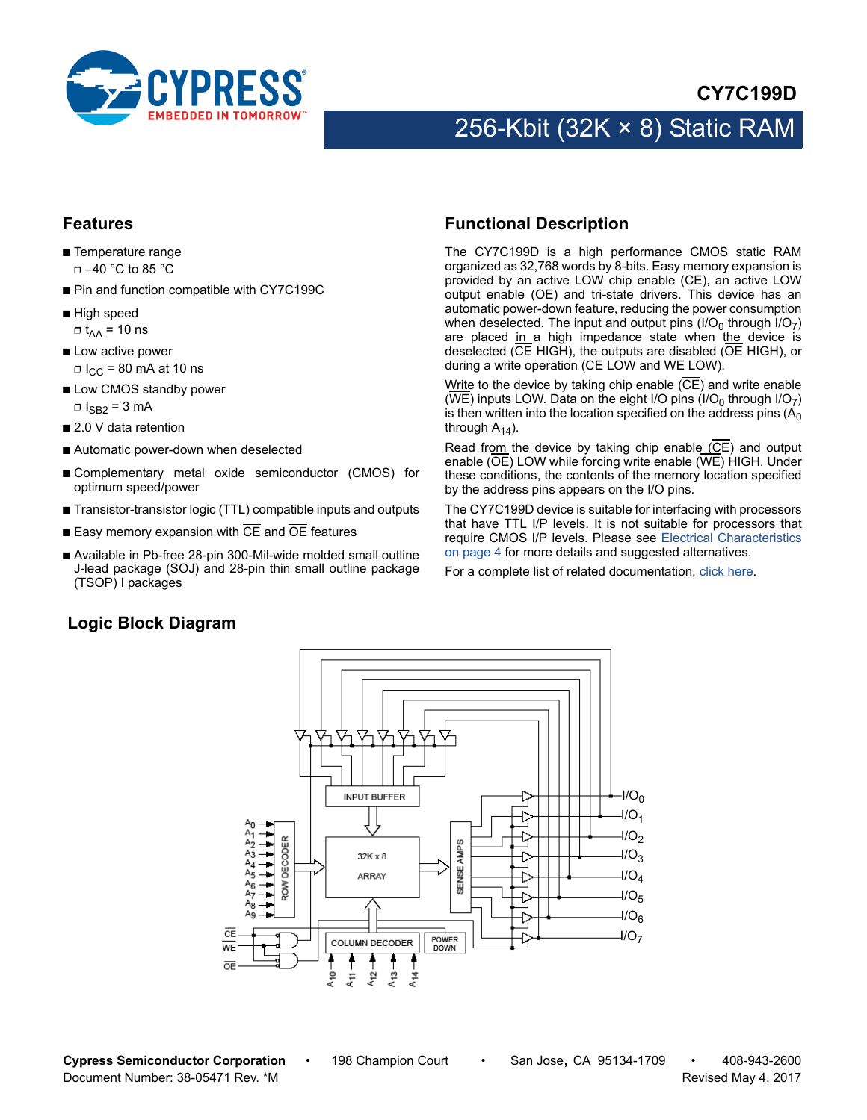

## **CY7C199D**

# 256-Kbit (32K × 8) Static RAM

#### **Features**

- Temperature range ❐ –40 °C to 85 °C
- Pin and function compatible with CY7C199C
- High speed  $\Box$  t<sub>AA</sub> = 10 ns
- Low active power  $\Box$  I<sub>CC</sub> = 80 mA at 10 ns
- Low CMOS standby power  $\square$   $\log_2 = 3$  mA
- 2.0 V data retention
- Automatic power-down when deselected
- Complementary metal oxide semiconductor (CMOS) for optimum speed/power
- Transistor-transistor logic (TTL) compatible inputs and outputs
- $\blacksquare$  Easy memory expansion with  $\overline{CE}$  and  $\overline{OE}$  features
- Available in Pb-free 28-pin 300-Mil-wide molded small outline J-lead package (SOJ) and 28-pin thin small outline package (TSOP) I packages

#### **Logic Block Diagram**

#### <span id="page-0-0"></span>**Functional Description**

The CY7C199D is a high performance CMOS static RAM organized as 32,768 words by 8-bits. Easy memory expansion is provided by an  $\overline{\text{active}}$  LOW chip enable ( $\overline{\text{CE}}$ ), an active LOW output enable (OE) and tri-state drivers. This device has an automatic power-down feature, reducing the power consumption when deselected. The input and output pins (I/O<sub>0</sub> through I/O<sub>7</sub>) are placed in a high impedance state when the device is deselected (CE HIGH), the outputs are disabled (OE HIGH), or during a write operation (CE LOW and WE LOW).

Write to the device by taking chip enable  $(\overline{CE})$  and write enable (WE) inputs LOW. Data on the eight I/O pins (I/O<sub>0</sub> through I/O<sub>7</sub>) is then written into the location specified on the address pins  $(A<sub>0</sub>)$ through  $A_{14}$ ).

Read from the device by taking chip enable (CE) and output enable (OE) LOW while forcing write enable (WE) HIGH. Under these conditions, the contents of the memory location specified by the address pins appears on the I/O pins.

The CY7C199D device is suitable for interfacing with processors that have TTL I/P levels. It is not suitable for processors that require CMOS I/P levels. Please see [Electrical Characteristics](#page-3-0) [on page 4](#page-3-0) for more details and suggested alternatives.

For a complete list of related documentation, [click here](http://www.cypress.com/?rID=13148).

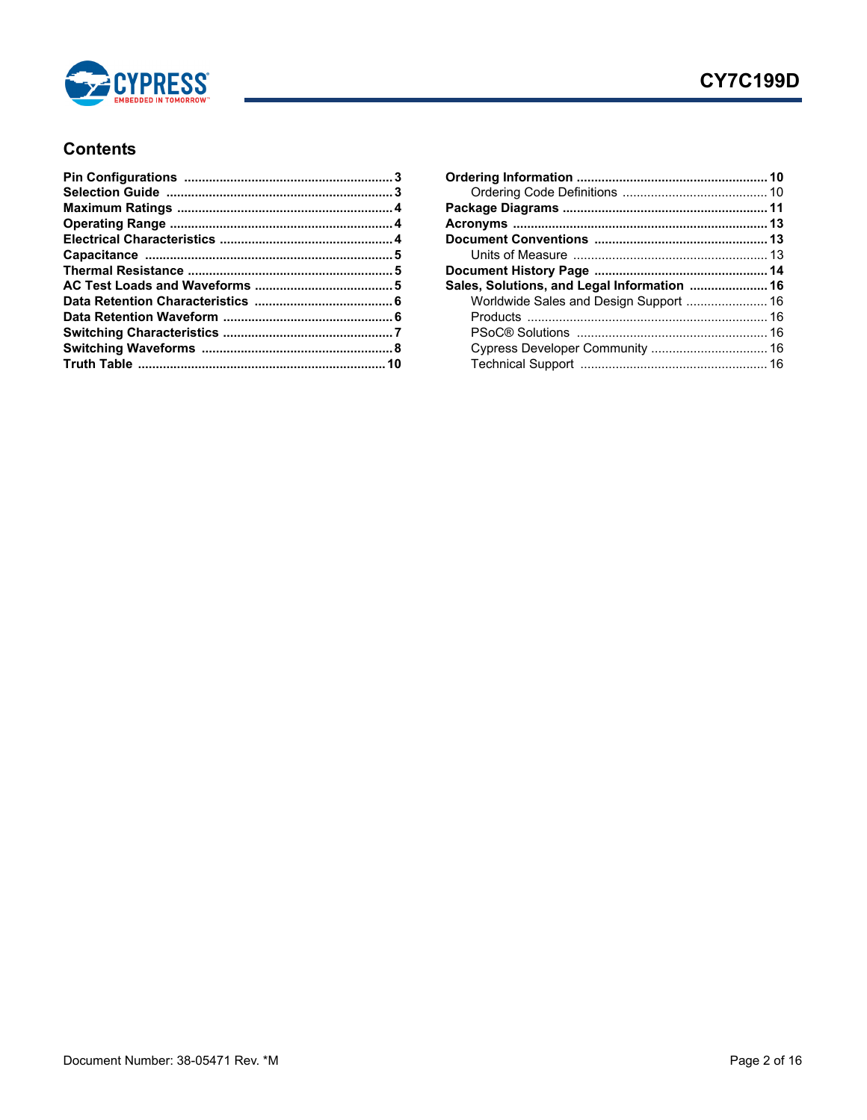

## **Contents**

| Sales, Solutions, and Legal Information  16 |  |
|---------------------------------------------|--|
| Worldwide Sales and Design Support  16      |  |
|                                             |  |
|                                             |  |
|                                             |  |
|                                             |  |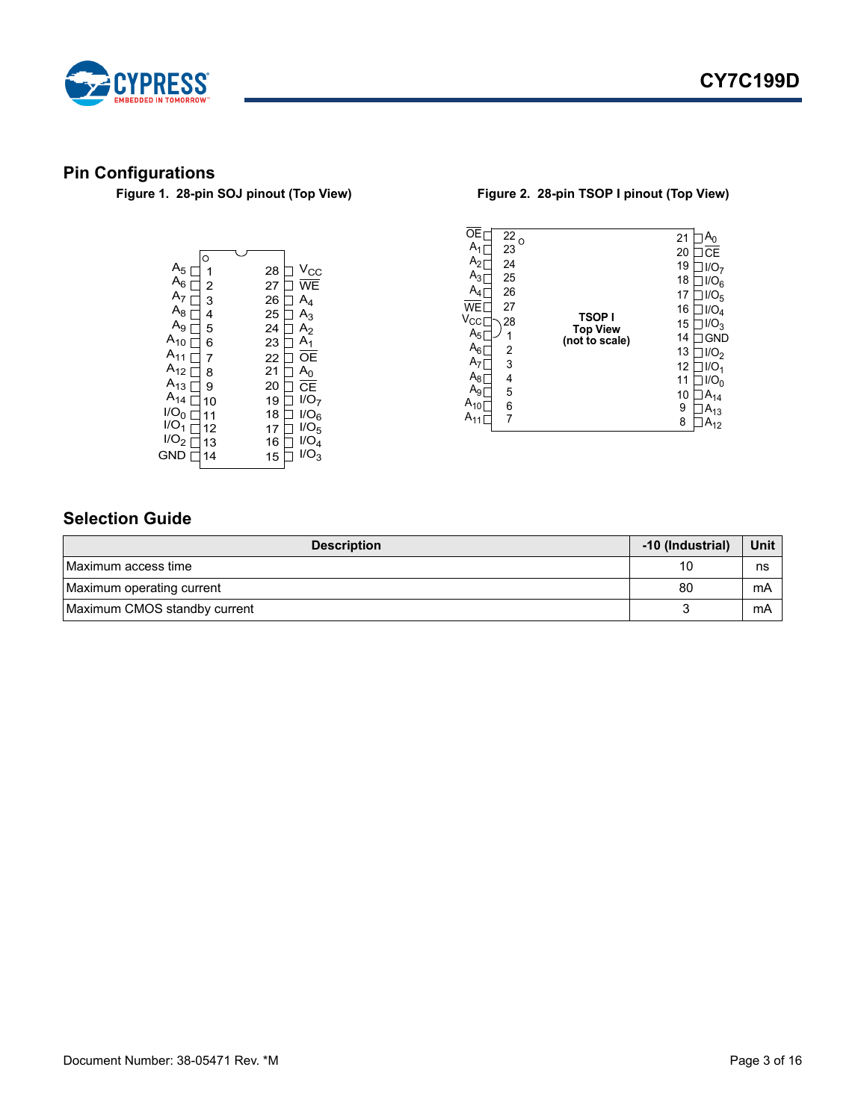



# <span id="page-2-0"></span>**Pin Configurations**

| $A_5$ [          | C  | 28 | $V_{\rm CC}$     |
|------------------|----|----|------------------|
| $A_6$ [          | 2  | 27 | WE               |
| A <sub>7</sub>   | 3  | 26 | $A_4$            |
| $A_8$            | 4  | 25 | $A_3$            |
| $A_9L$           | 5  | 24 | A <sub>2</sub>   |
| $A_{10}$ [       | 6  | 23 | A <sub>1</sub>   |
| $A_{11}$         | 7  | 22 | OΕ               |
| $A_{12}$         | 8  | 21 | $A_0$            |
| $A_{13}$         | 9  | 20 | CF               |
| $A_{14}$         | 10 | 19 | I/O <sub>7</sub> |
| 1/O <sub>0</sub> | 11 | 18 | 1/O <sub>6</sub> |
| IO <sub>1</sub>  | 12 | 17 | 1/O <sub>5</sub> |
| 1/O <sub>2</sub> | 13 | 16 | I/O <sub>4</sub> |
| GND              | 4  | 15 | $1/O_{3}$        |
|                  |    |    |                  |

#### **Figure 1. 28-pin SOJ pinout (Top View) Figure 2. 28-pin TSOP I pinout (Top View)**

| 25<br>18<br>1/O <sub>6</sub><br>$A_4$<br>26<br>17<br>1/O <sub>5</sub><br>27<br><b>WF</b><br>16<br>I/O <sub>4</sub><br><b>TSOPI</b><br>$V_{\rm CC}$<br>28<br>15<br>1/O <sub>2</sub><br><b>Top View</b><br>$A_5$<br>1<br>14<br><b>GND</b><br>(not to scale)<br>$A_6$<br>2<br>13<br>1/O <sub>2</sub><br>A <sub>7</sub><br>3<br>12<br>1/O <sub>1</sub><br>$A_8$<br>4<br>11<br>1/O <sub>0</sub><br>$A_9$<br>5<br>10<br>$A_{14}$<br>$A_{10}$<br>6<br>9<br>$A_{13}$<br>$A_{11}$<br>7<br>8<br>$A_{12}$ | ΩF<br>$A_{1}$<br>A <sub>2</sub><br>$A_3$ |
|------------------------------------------------------------------------------------------------------------------------------------------------------------------------------------------------------------------------------------------------------------------------------------------------------------------------------------------------------------------------------------------------------------------------------------------------------------------------------------------------|------------------------------------------|
|------------------------------------------------------------------------------------------------------------------------------------------------------------------------------------------------------------------------------------------------------------------------------------------------------------------------------------------------------------------------------------------------------------------------------------------------------------------------------------------------|------------------------------------------|

# <span id="page-2-1"></span>**Selection Guide**

| <b>Description</b>           | -10 (Industrial) | Unit |
|------------------------------|------------------|------|
| Maximum access time          | 10               | ns   |
| Maximum operating current    | 80               | mA   |
| Maximum CMOS standby current |                  | mA   |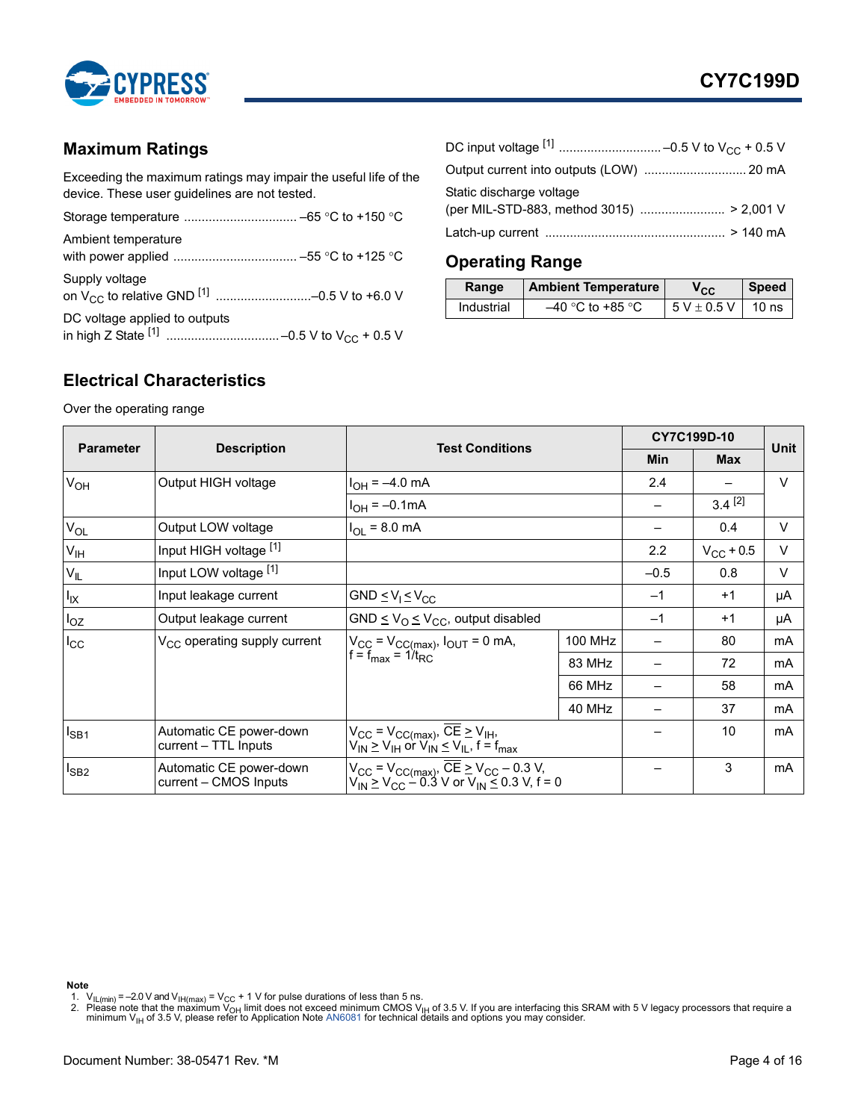

## <span id="page-3-1"></span>**Maximum Ratings**

Exceeding the maximum ratings may impair the useful life of the device. These user guidelines are not tested.

| Ambient temperature           |
|-------------------------------|
| Supply voltage                |
| DC voltage applied to outputs |

| Static discharge voltage |  |
|--------------------------|--|
|                          |  |

# <span id="page-3-2"></span>**Operating Range**

| Range      | <b>Ambient Temperature</b> | Vcc.            | <b>Speed</b>     |
|------------|----------------------------|-----------------|------------------|
| Industrial | $-40$ °C to +85 °C         | $5 V \pm 0.5 V$ | 10 <sub>ns</sub> |

# <span id="page-3-0"></span>**Electrical Characteristics**

Over the operating range

|                       | <b>Test Conditions</b>                           |                                                                                                                                                                                                       |                |            | CY7C199D-10        | Unit   |
|-----------------------|--------------------------------------------------|-------------------------------------------------------------------------------------------------------------------------------------------------------------------------------------------------------|----------------|------------|--------------------|--------|
| <b>Parameter</b>      | <b>Description</b>                               |                                                                                                                                                                                                       | Min            | <b>Max</b> |                    |        |
| <b>V<sub>OH</sub></b> | Output HIGH voltage                              | $I_{OH} = -4.0$ mA                                                                                                                                                                                    |                | 2.4        |                    | $\vee$ |
|                       |                                                  | $I_{OH} = -0.1 \text{mA}$                                                                                                                                                                             |                |            | $3.4^{[2]}$        |        |
| $V_{OL}$              | Output LOW voltage                               | $I_{OL} = 8.0$ mA                                                                                                                                                                                     |                |            | 0.4                | $\vee$ |
| V <sub>IH</sub>       | Input HIGH voltage [1]                           |                                                                                                                                                                                                       |                | 2.2        | $V_{\rm CC}$ + 0.5 | $\vee$ |
| $V_{IL}$              | Input LOW voltage [1]                            |                                                                                                                                                                                                       |                | $-0.5$     | 0.8                | $\vee$ |
| $I_{IX}$              | Input leakage current                            | GND $\leq$ $V_1 \leq$ $V_{CC}$                                                                                                                                                                        |                | $-1$       | $+1$               | μA     |
| $I_{OZ}$              | Output leakage current                           | GND $\leq$ V <sub>O</sub> $\leq$ V <sub>CC</sub> , output disabled                                                                                                                                    |                | $-1$       | $+1$               | μA     |
| $I_{\rm CC}$          | V <sub>CC</sub> operating supply current         | $V_{CC}$ = $V_{CC(max)}$ , $I_{OUT}$ = 0 mA,<br>$f = f_{max} = 1/t_{RC}$                                                                                                                              | <b>100 MHz</b> |            | 80                 | mA     |
|                       |                                                  |                                                                                                                                                                                                       | 83 MHz         |            | 72                 | mA     |
|                       |                                                  |                                                                                                                                                                                                       | 66 MHz         |            | 58                 | mA     |
|                       |                                                  |                                                                                                                                                                                                       | 40 MHz         |            | 37                 | mA     |
| $I_{SB1}$             | Automatic CE power-down<br>current - TTL Inputs  | $V_{CC}$ = $V_{CC(max)}$ , $\overline{CE} \geq V_{IH}$ ,<br>$V_{IN} \geq V_{IH}$ or $V_{IN} \leq V_{IL}$ , $f = f_{max}$                                                                              |                |            | 10                 | mA     |
| $I_{SB2}$             | Automatic CE power-down<br>current - CMOS Inputs | $V_{\text{CC}} = V_{\text{CC(max)}}$ , $\overline{\text{CE}} \ge V_{\text{CC}} - 0.3 \text{ V}$ ,<br>$V_{\text{IN}} \ge V_{\text{CC}} - 0.3 \text{ V}$ or $V_{\text{IN}} \le 0.3 \text{ V}$ , $f = 0$ |                |            | 3                  | mA     |

**Note**

<span id="page-3-4"></span><span id="page-3-3"></span>1. V<sub>IL(min)</sub> = –2.0 V and V<sub>IH(max)</sub> = V<sub>CC</sub> + 1 V for pulse durations of less than 5 ns.<br>2. Please note that the maximum V<sub>OH</sub> limit does not exceed minimum CMOS V<sub>IH</sub> of 3.5 V. If you are interfacing this SRAM with 5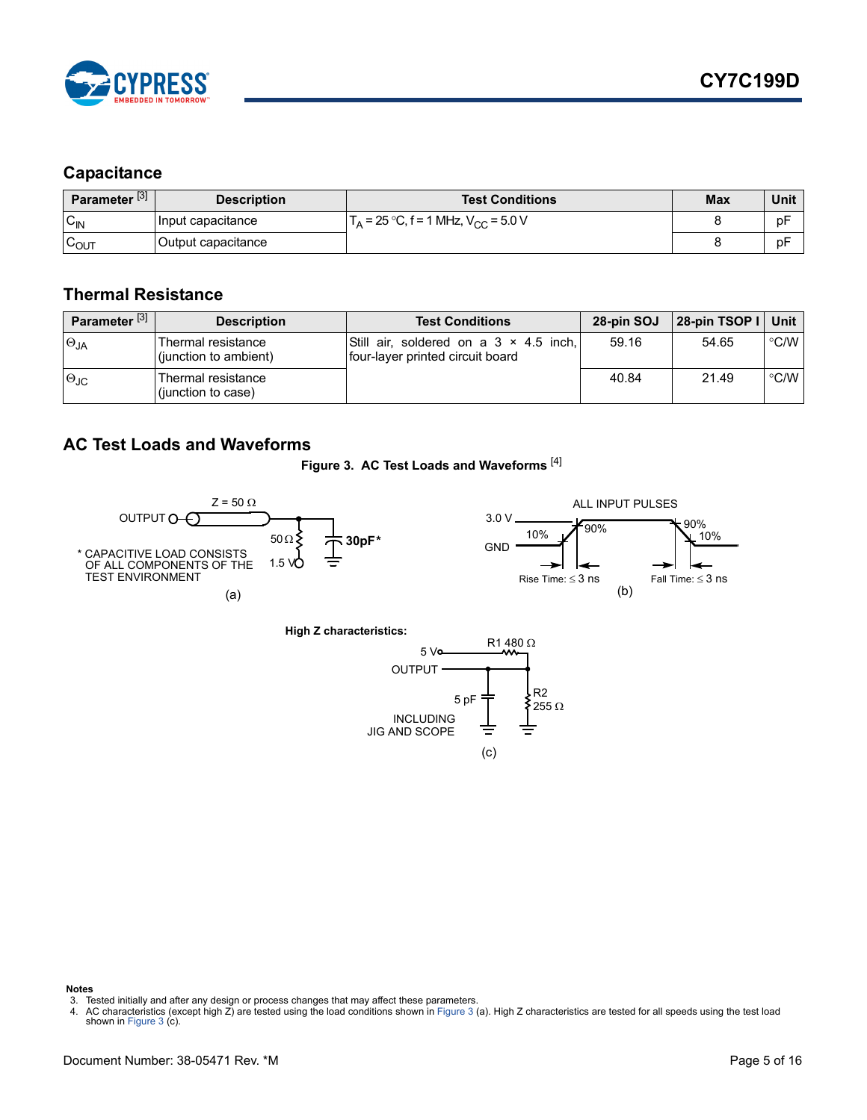

## <span id="page-4-0"></span>**Capacitance**

| Parameter <sup>[3]</sup> | <b>Description</b> | <b>Test Conditions</b>                      | <b>Max</b> | Unit |
|--------------------------|--------------------|---------------------------------------------|------------|------|
| $C_{IN}$                 | Input capacitance  | $I_A = 25 °C$ , f = 1 MHz, $V_{CC} = 5.0 V$ |            | рF   |
| $\sim$<br>POUT           | Output capacitance |                                             |            | pF   |

#### <span id="page-4-1"></span>**Thermal Resistance**

| Parameter <sup>[3]</sup> | <b>Description</b>                          | <b>Test Conditions</b>                                                     | 28-pin SOJ | 28-pin TSOP I   Unit |               |
|--------------------------|---------------------------------------------|----------------------------------------------------------------------------|------------|----------------------|---------------|
| $\Theta_{JA}$            | Thermal resistance<br>(junction to ambient) | Still air, soldered on a 3 × 4.5 inch,<br>four-layer printed circuit board | 59.16      | 54.65                | °C/W          |
| $\Theta$ JC              | Thermal resistance<br>(junction to case)    |                                                                            | 40.84      | 21.49                | $\degree$ C/W |

#### <span id="page-4-5"></span><span id="page-4-2"></span>**AC Test Loads and Waveforms**





INCLUDING

JIG AND SCOPE

(c)

**Notes**

<span id="page-4-4"></span>4. AC characteristics (except high Z) are tested using the load conditions shown in [Figure 3](#page-4-5) (a). High Z characteristics are tested for all speeds using the test load shown in [Figure 3](#page-4-5) (c).

<span id="page-4-3"></span><sup>3.</sup> Tested initially and after any design or process changes that may affect these parameters.<br>4. AC characteristics (except high Z) are tested using the load conditions shown in Figure 3 (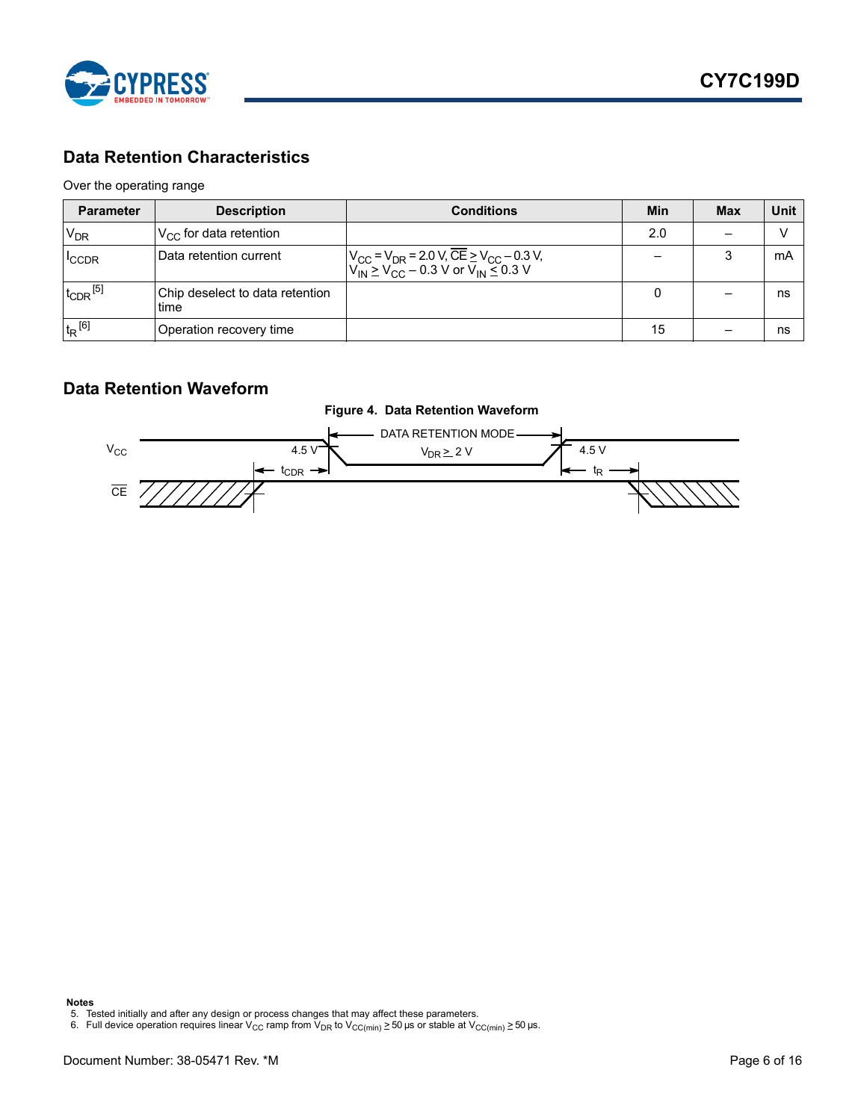

# <span id="page-5-0"></span>**Data Retention Characteristics**

#### Over the operating range

| <b>Parameter</b>         | <b>Description</b>                       | <b>Conditions</b>                                                                                                                                                                   | <b>Min</b> | <b>Max</b> | Unit |
|--------------------------|------------------------------------------|-------------------------------------------------------------------------------------------------------------------------------------------------------------------------------------|------------|------------|------|
| $V_{DR}$                 | $V_{CC}$ for data retention              |                                                                                                                                                                                     | 2.0        |            |      |
| <sup>I</sup> CCDR        | Data retention current                   | $V_{\text{CC}}$ = V <sub>DR</sub> = 2.0 V, $\overline{\text{CE}}$ $\geq$ V <sub>CC</sub> – 0.3 V,<br>V <sub>IN</sub> $\geq$ V <sub>CC</sub> – 0.3 V or V <sub>IN</sub> $\leq$ 0.3 V |            |            | mA   |
| $t_{CDR}$ <sup>[5]</sup> | Chip deselect to data retention<br>ltime |                                                                                                                                                                                     |            |            | ns   |
| $t_R$ <sup>[6]</sup>     | Operation recovery time                  |                                                                                                                                                                                     | 15         |            | ns   |

#### <span id="page-5-1"></span>**Data Retention Waveform**



**Notes**

<span id="page-5-3"></span><span id="page-5-2"></span><sup>5.</sup> Tested initially and after any design or process changes that may affect these parameters.<br>6. Full device operation requires linear V<sub>CC</sub> ramp from V<sub>DR</sub> to V<sub>CC(min)</sub> ≥ 50 µs or stable at V<sub>CC(min)</sub> ≥ 50 µs.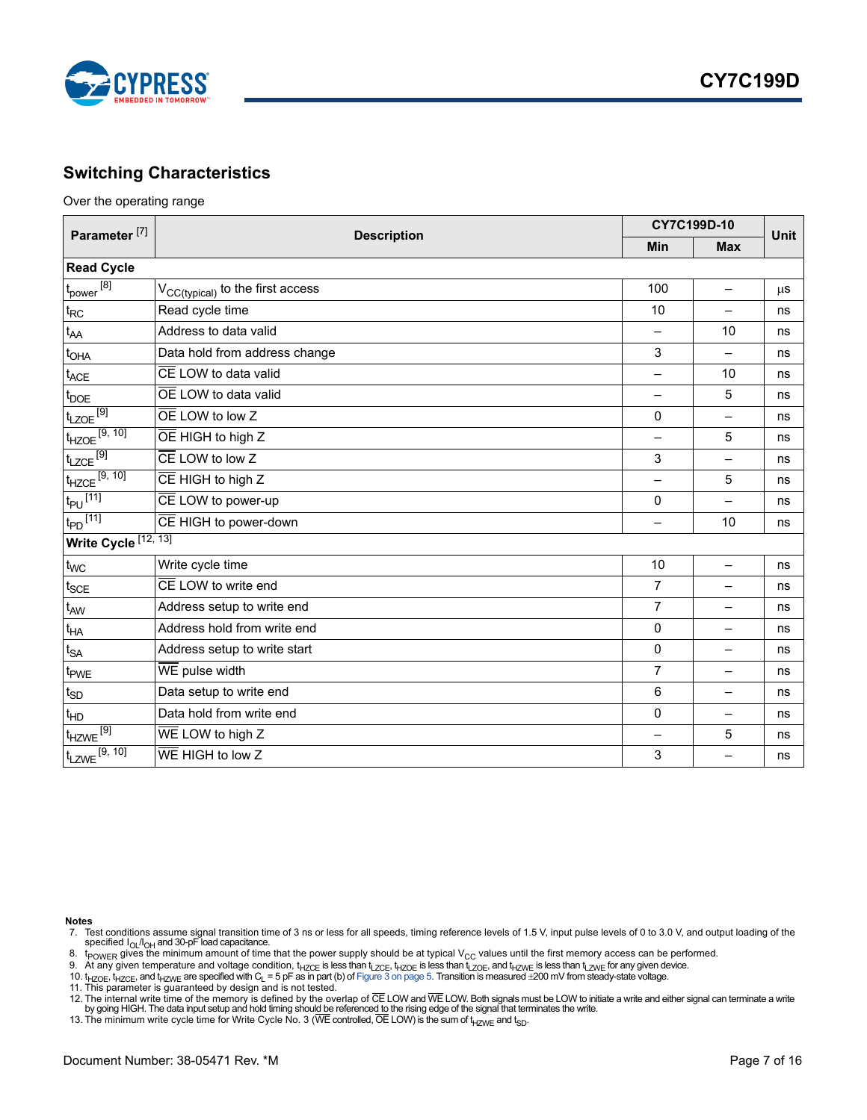

#### <span id="page-6-0"></span>**Switching Characteristics**

Over the operating range

| Parameter <sup>[7]</sup>        | <b>Description</b>                           | CY7C199D-10    | <b>Unit</b>              |         |  |
|---------------------------------|----------------------------------------------|----------------|--------------------------|---------|--|
|                                 |                                              | <b>Min</b>     | <b>Max</b>               |         |  |
| <b>Read Cycle</b>               |                                              |                |                          |         |  |
| $t_{power}$ <sup>[8]</sup>      | V <sub>CC(typical)</sub> to the first access | 100            |                          | $\mu$ S |  |
| $t_{RC}$                        | Read cycle time                              | 10             | —                        | ns      |  |
| $t_{AA}$                        | Address to data valid                        |                | 10                       | ns      |  |
| t <sub>OHA</sub>                | Data hold from address change                | 3              | -                        | ns      |  |
| $t_{ACE}$                       | CE LOW to data valid                         |                | 10                       | ns      |  |
| $t_{\text{DOE}}$                | OE LOW to data valid                         | $\equiv$       | 5                        | ns      |  |
| $t_{LZOE}$ [9]                  | OE LOW to low Z                              | 0              | $\overline{\phantom{0}}$ | ns      |  |
| $t_{HZOE}$ [9, 10]              | OE HIGH to high Z                            | —              | 5                        | ns      |  |
| $t_{LZCE}$ <sup>[9]</sup>       | $\overline{CE}$ LOW to low Z                 | 3              |                          | ns      |  |
| $t_{HZCE}$ <sup>[9, 10]</sup>   | $\overline{CE}$ HIGH to high Z               | —              | 5                        | ns      |  |
| $t_{PU}$ <sup>[11]</sup>        | CE LOW to power-up                           | $\mathbf 0$    | $\equiv$                 | ns      |  |
| $t_{\text{PD}}$ <sup>[11]</sup> | CE HIGH to power-down                        | —              | 10                       | ns      |  |
| Write Cycle [12, 13]            |                                              |                |                          |         |  |
| $t_{WC}$                        | Write cycle time                             | 10             | $\overline{\phantom{0}}$ | ns      |  |
| $t_{SCE}$                       | CE LOW to write end                          | $\overline{7}$ | $\overline{\phantom{0}}$ | ns      |  |
| t <sub>AW</sub>                 | Address setup to write end                   | $\overline{7}$ | —                        | ns      |  |
| $t_{\sf HA}$                    | Address hold from write end                  | $\mathbf{0}$   | —                        | ns      |  |
| $t_{SA}$                        | Address setup to write start                 | $\mathbf 0$    | Ξ.                       | ns      |  |
| t <sub>PWE</sub>                | WE pulse width                               | $\overline{7}$ | ÷.                       | ns      |  |
| $t_{SD}$                        | Data setup to write end                      | 6              | $\qquad \qquad -$        | ns      |  |
| $t_{HD}$                        | Data hold from write end                     | 0              | $\qquad \qquad -$        | ns      |  |
| $t_{HZWE}$ <sup>[9]</sup>       | WE LOW to high Z                             | —              | 5                        | ns      |  |
| $t_{LZWE}$ [9, 10]              | $\overline{\text{WE}}$ HIGH to low Z         | 3              |                          | ns      |  |

**Notes**

<span id="page-6-1"></span>7. Test conditions assume signal transition time of 3 ns or less for all speeds, timing reference levels of 1.5 V, input pulse levels of 0 to 3.0 V, and output loading of the

<span id="page-6-2"></span>specified I<sub>OL</sub>/I<sub>OH</sub> and 30-pF load capacitance.<br>8.  $\,$  t<sub>POWER</sub> gives the minimum amount of time that the power supply should be at typical V<sub>CC</sub> values until the first memory access can be performed.

<span id="page-6-3"></span>9. At any given temperature and voltage condition, t<sub>HZCE</sub> is less than t<sub>LZCE</sub>, t<sub>HZOE</sub> is less than t<sub>HZWE</sub> is less than t<sub>LZWE</sub> for any given device.<br>10. t<sub>HZOE</sub>, t<sub>HZCE</sub>, and t<sub>HZWE</sub> are specified with C<sub>L</sub> = 5 pF as

<span id="page-6-4"></span>

<span id="page-6-5"></span>

<span id="page-6-6"></span>12. The internal write time of the memory is defined by the overlap of CE LOW and WE LOW. Both signals must be LOW to initiate a write and either signal can terminate a write<br>by going HIGH. The data input setup and hold ti

<span id="page-6-7"></span>13. The minimum write cycle time for Write Cycle No. 3 (WE controlled, OE LOW) is the sum of  $t_{HZWE}$  and  $t_{SD}$ .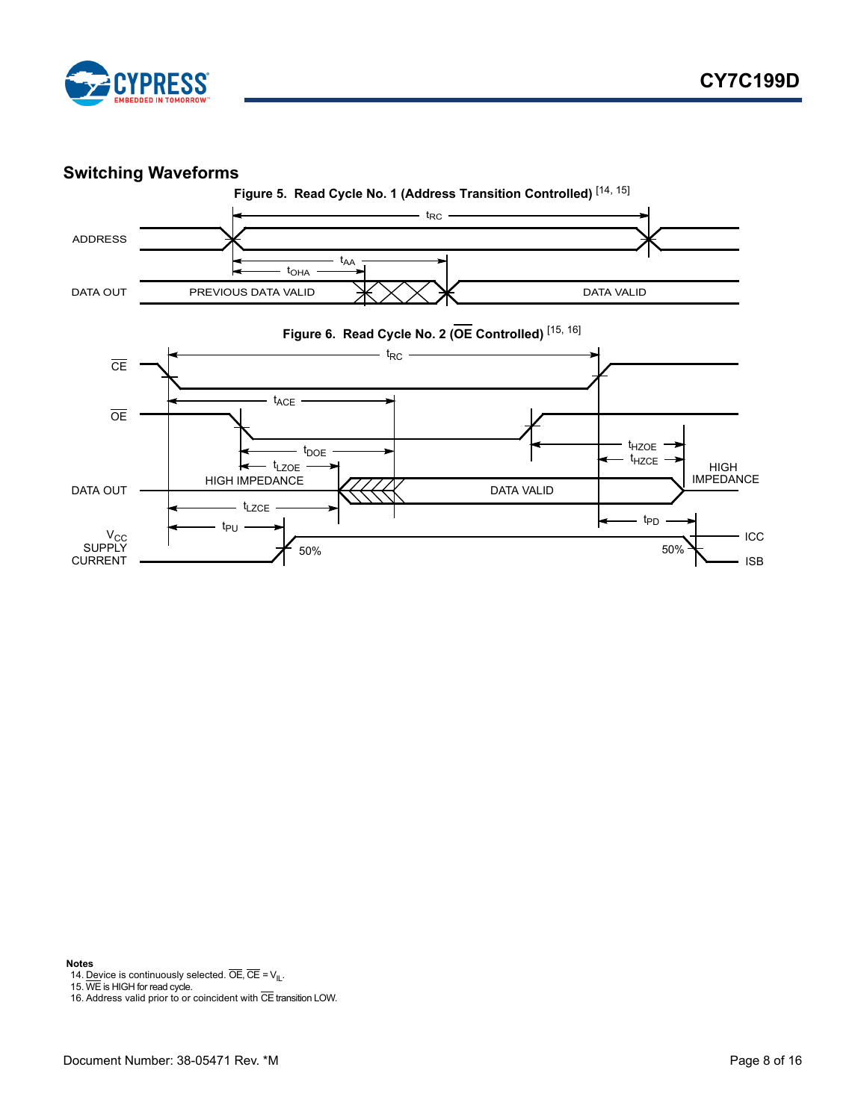

#### <span id="page-7-0"></span>**Switching Waveforms**



**Notes**

<span id="page-7-1"></span>14. Device is continuously selected. OE, CE =  $V_{II}$ .<br>15. WE is HIGH for read cycle.

<span id="page-7-2"></span>

<span id="page-7-3"></span>16. Address valid prior to or coincident with CE transition LOW.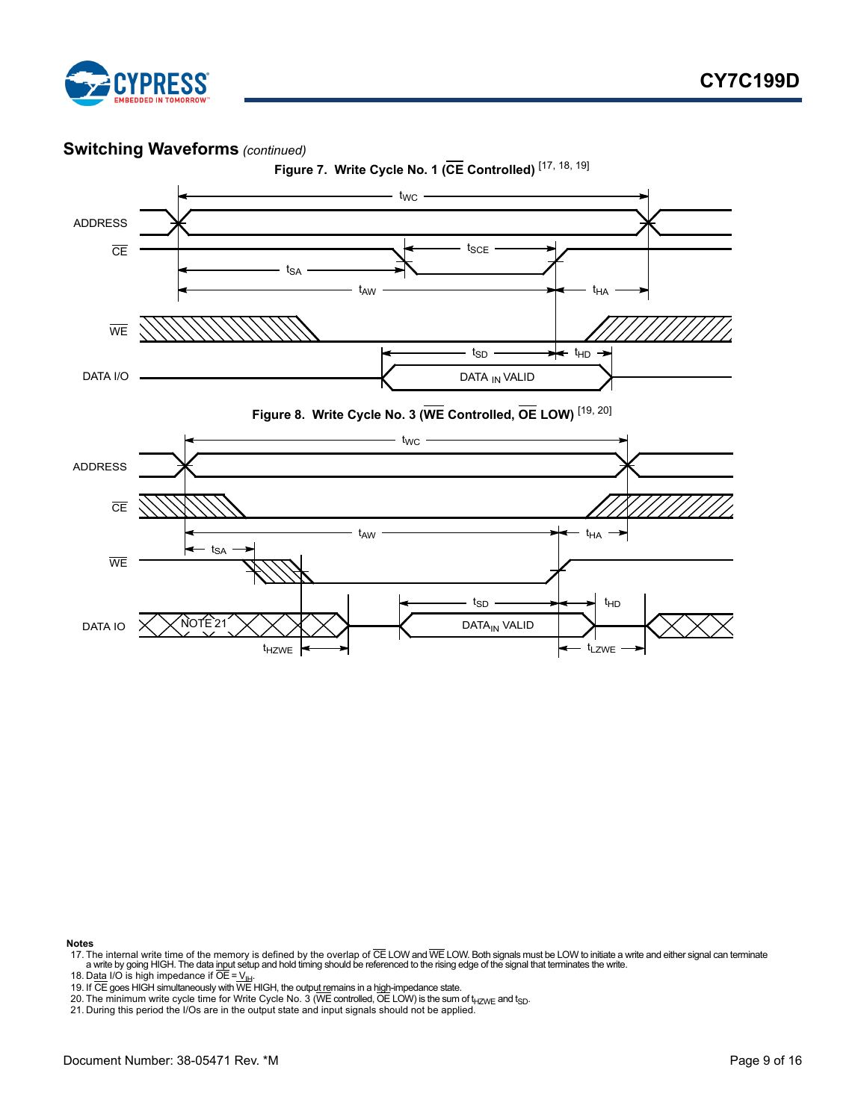

### **Switching Waveforms** *(continued)*





**Notes**

- <span id="page-8-1"></span>17. The internal write time of the memory is defined by the overlap of CE LOW and WE LOW. Both signals must be LOW to initiate a write and either signal can terminate<br>a write by going HIGH. The data input setup and hold ti
- 
- <span id="page-8-4"></span><span id="page-8-3"></span>
- <span id="page-8-2"></span>18. D<u>ata</u> I/O is high impedance if OE = V<sub>IH</sub>.<br>19. If CE goes HIGH simultaneously with WE HIGH, the outpu<u>t re</u>mains in a h<u>igh</u>-impedance state.<br>20. The minimum write cycle time for Write Cycle No. 3 (WE controlled, OE L
- <span id="page-8-0"></span>21. During this period the I/Os are in the output state and input signals should not be applied.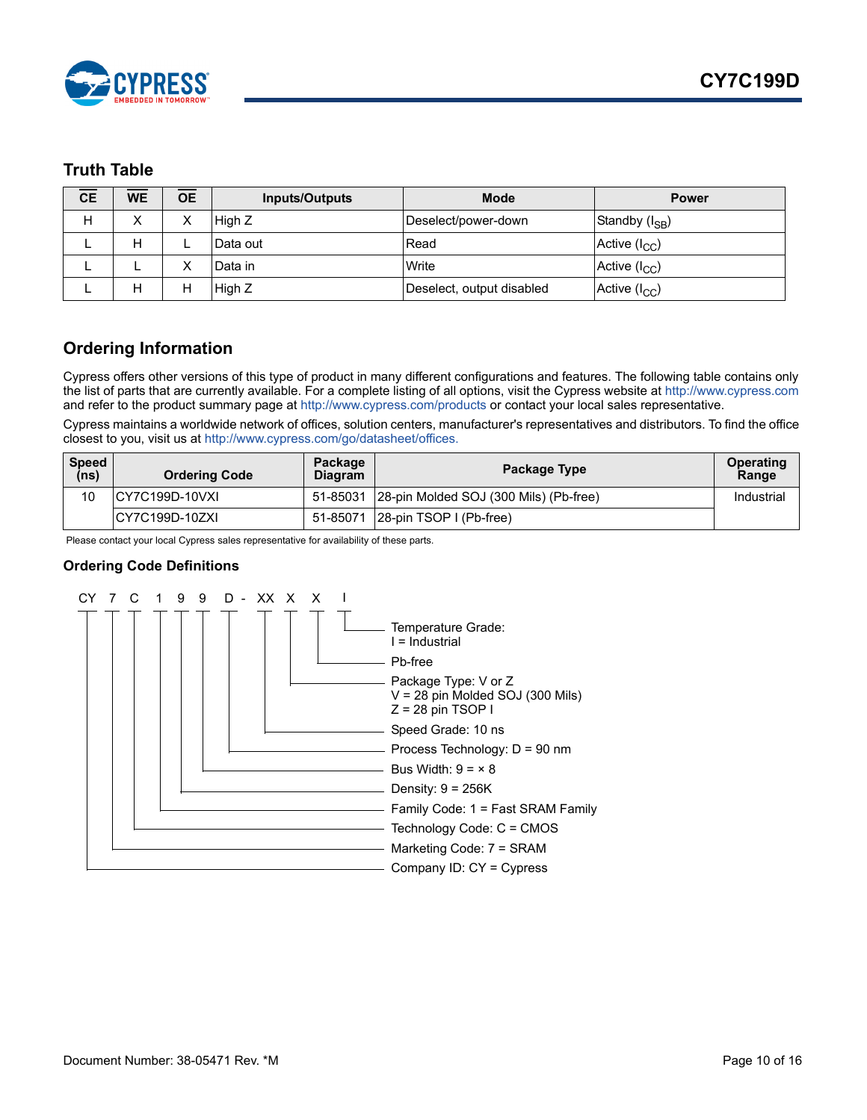

#### <span id="page-9-0"></span>**Truth Table**

| <b>CE</b> | <b>WE</b> | <b>OE</b> | <b>Inputs/Outputs</b> | <b>Mode</b>               | <b>Power</b>       |
|-----------|-----------|-----------|-----------------------|---------------------------|--------------------|
| Н         | х         | ⋏         | High Z                | Deselect/power-down       | Standby $(I_{SB})$ |
|           | н         |           | Data out              | Read                      | Active $(I_{CC})$  |
|           |           |           | Data in               | Write                     | Active $(I_{CC})$  |
|           | н         | Н         | High Z                | Deselect, output disabled | Active $(I_{CC})$  |

## <span id="page-9-1"></span>**Ordering Information**

[Cypress offers other versions of this type of product in many different configurations and features. The following table contains only](http://www.cypress.com)  [the list of parts that are currently available. For a complete listing of all options, visit the Cypress website at h](http://www.cypress.com)ttp://www.cypress.com and refer to the product summary page at [h](http://www.cypress.com/products)ttp://www.cypress.com/products or contact your local sales representative.

Cypress maintains a worldwide network of offices, solution centers, manufacturer's representatives and distributors. To find the office closest to you, visit us at [http://www.cypress.com/go/datasheet/offices.](http://www.cypress.com/go/datasheet/offices)

| <b>Speed</b><br>(ns) | <b>Ordering Code</b>   | Package<br><b>Diagram</b> | Package Type                           | <b>Operating</b><br>Range |
|----------------------|------------------------|---------------------------|----------------------------------------|---------------------------|
| 10                   | <b>ICY7C199D-10VXI</b> | 51-85031                  | 28-pin Molded SOJ (300 Mils) (Pb-free) | Industrial                |
|                      | ICY7C199D-10ZXI        | 51-85071                  | 28-pin TSOP I (Pb-free)                |                           |

Please contact your local Cypress sales representative for availability of these parts.

#### <span id="page-9-2"></span>**Ordering Code Definitions**

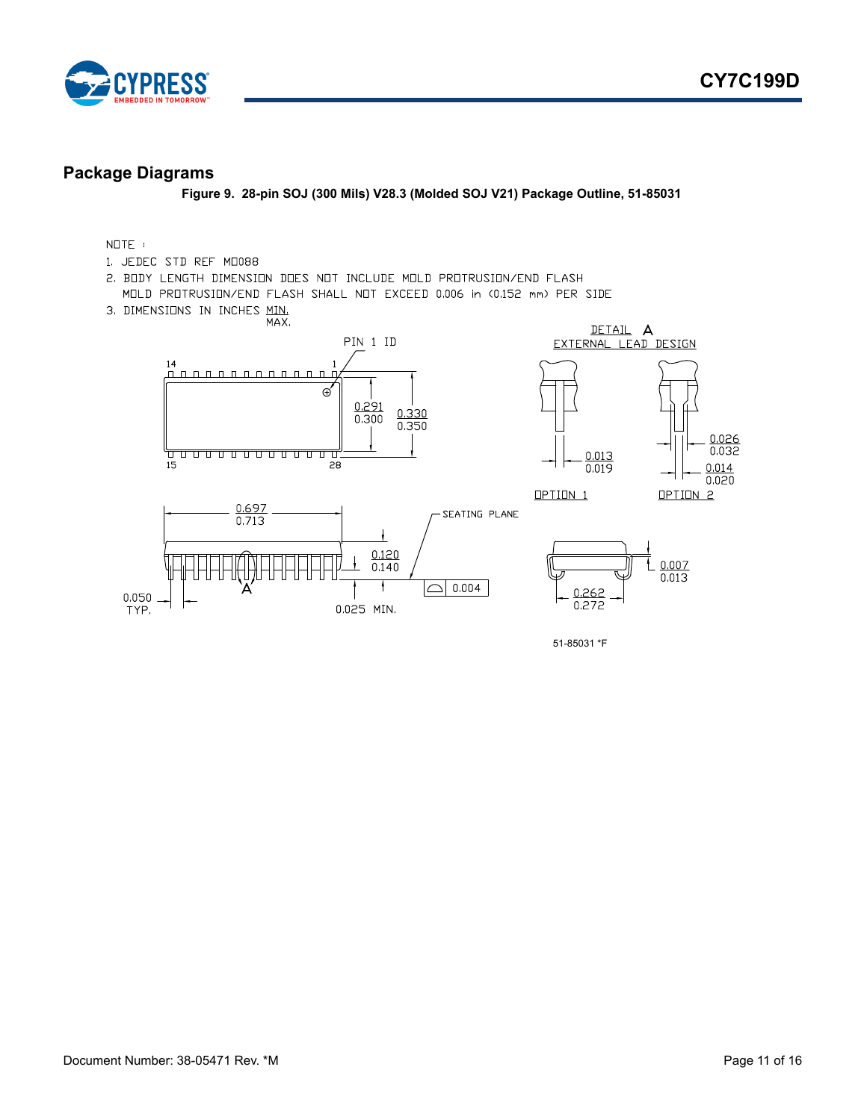

#### <span id="page-10-0"></span>**Package Diagrams**

**Figure 9. 28-pin SOJ (300 Mils) V28.3 (Molded SOJ V21) Package Outline, 51-85031**

#### $N \Box TE$  :

- 1. JEDEC STD REF MD088
- 2. BODY LENGTH DIMENSION DOES NOT INCLUDE MOLD PROTRUSION/END FLASH MOLD PROTRUSION/END FLASH SHALL NOT EXCEED 0.006 in (0.152 mm) PER SIDE
- 3. DIMENSIONS IN INCHES MIN.

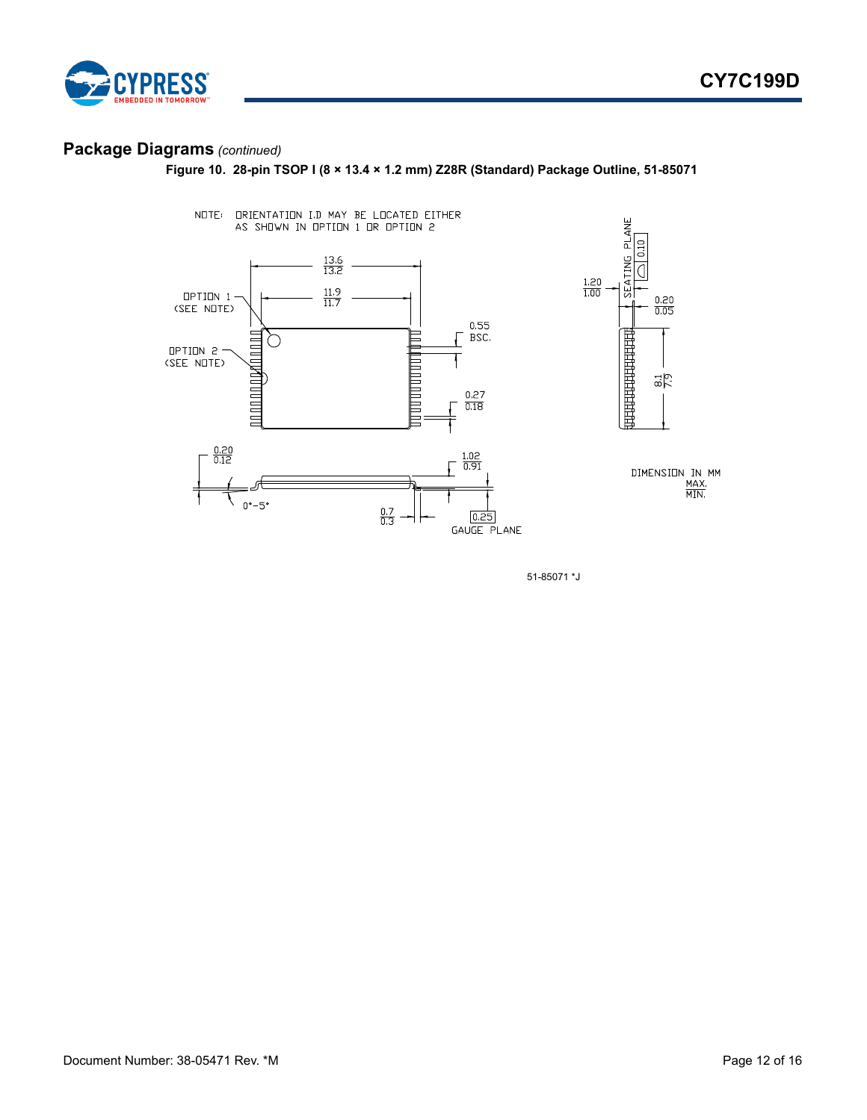



# **Package Diagrams** *(continued)*

**Figure 10. 28-pin TSOP I (8 × 13.4 × 1.2 mm) Z28R (Standard) Package Outline, 51-85071**



51-85071 \*J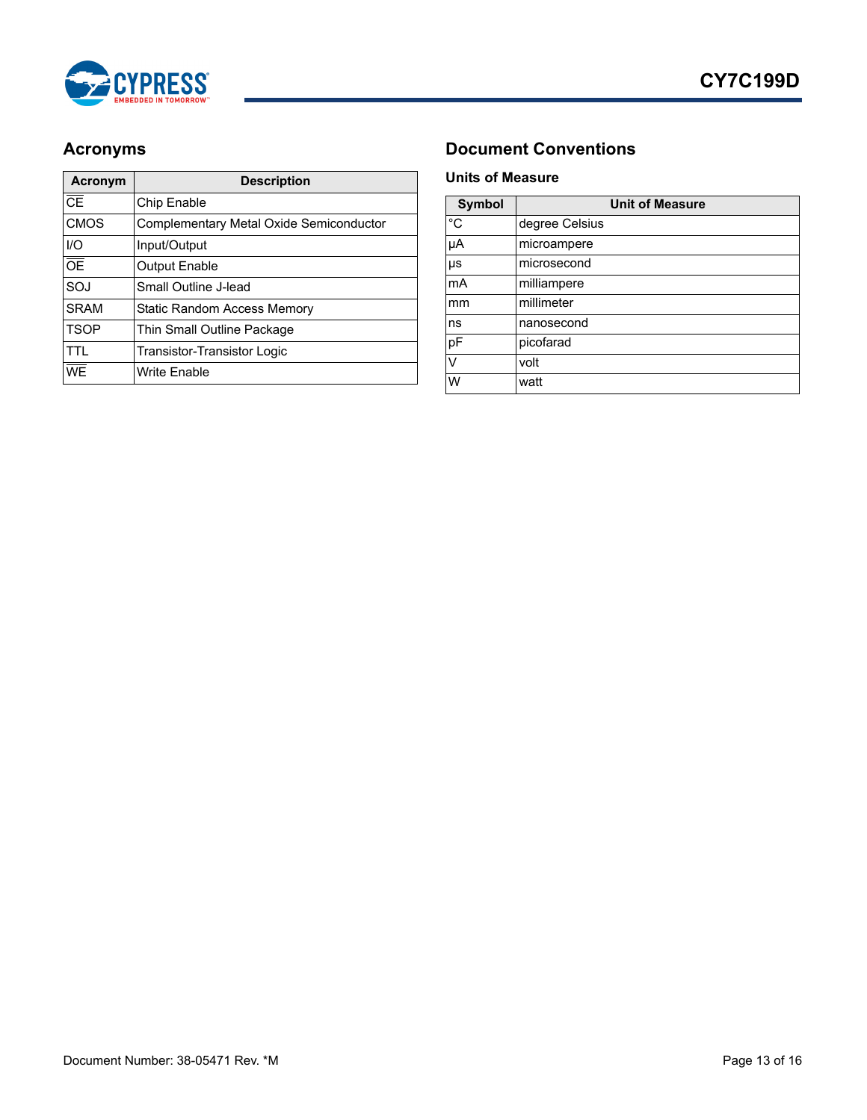

| Acronym         | <b>Description</b>                      |
|-----------------|-----------------------------------------|
| CE              | Chip Enable                             |
| <b>CMOS</b>     | Complementary Metal Oxide Semiconductor |
| $II$            | Input/Output                            |
| $\overline{OE}$ | <b>Output Enable</b>                    |
| SOJ             | Small Outline J-lead                    |
| <b>SRAM</b>     | <b>Static Random Access Memory</b>      |
| <b>TSOP</b>     | Thin Small Outline Package              |
| TTI             | <b>Transistor-Transistor Logic</b>      |
| WE              | <b>Write Enable</b>                     |

# <span id="page-12-0"></span>Acronyms **Document Conventions**

#### <span id="page-12-2"></span><span id="page-12-1"></span>**Units of Measure**

| <b>Symbol</b> | <b>Unit of Measure</b> |  |  |  |  |
|---------------|------------------------|--|--|--|--|
| $^{\circ}C$   | degree Celsius         |  |  |  |  |
| μA            | microampere            |  |  |  |  |
| μs            | microsecond            |  |  |  |  |
| mA            | milliampere            |  |  |  |  |
| mm            | millimeter             |  |  |  |  |
| ns            | nanosecond             |  |  |  |  |
| pF            | picofarad              |  |  |  |  |
| V             | volt                   |  |  |  |  |
| W             | watt                   |  |  |  |  |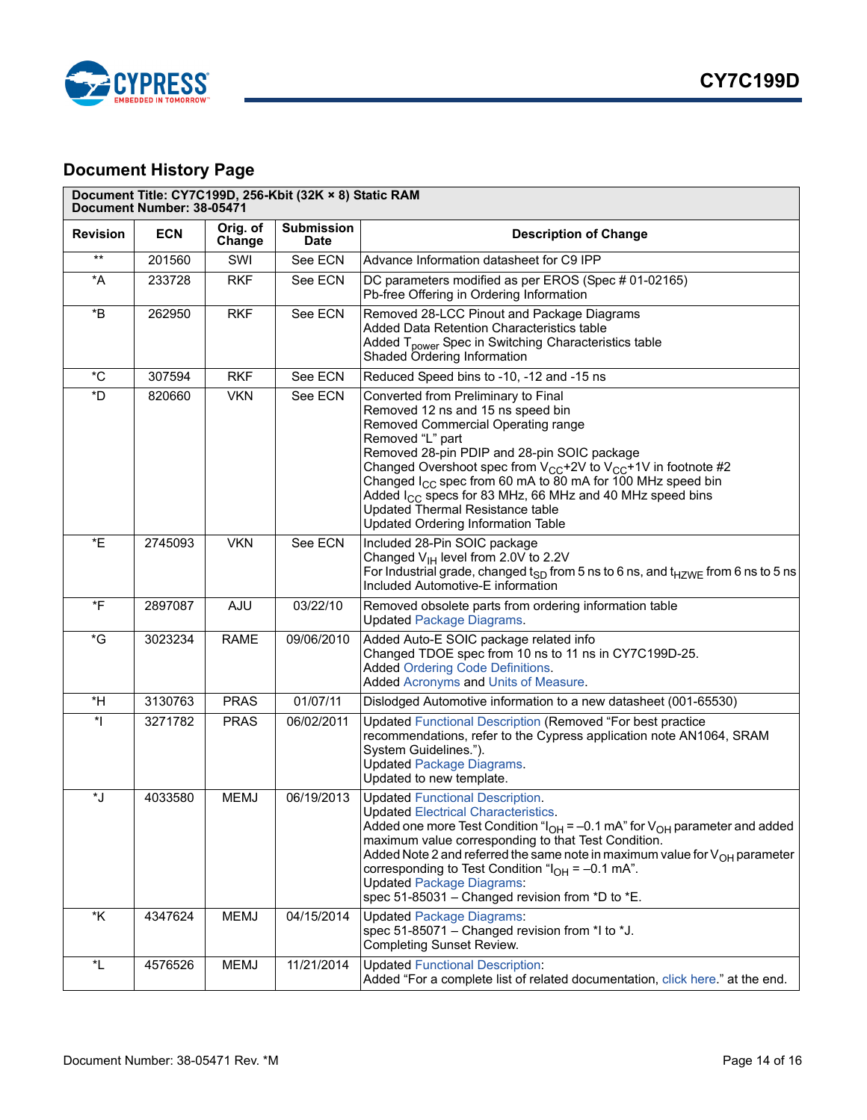

# <span id="page-13-0"></span>**Document History Page**

| Document Title: CY7C199D, 256-Kbit (32K × 8) Static RAM<br>Document Number: 38-05471 |            |                    |                                  |                                                                                                                                                                                                                                                                                                                                                                                                                                                                                          |
|--------------------------------------------------------------------------------------|------------|--------------------|----------------------------------|------------------------------------------------------------------------------------------------------------------------------------------------------------------------------------------------------------------------------------------------------------------------------------------------------------------------------------------------------------------------------------------------------------------------------------------------------------------------------------------|
| <b>Revision</b>                                                                      | <b>ECN</b> | Orig. of<br>Change | <b>Submission</b><br><b>Date</b> | <b>Description of Change</b>                                                                                                                                                                                                                                                                                                                                                                                                                                                             |
| $***$                                                                                | 201560     | SWI                | See ECN                          | Advance Information datasheet for C9 IPP                                                                                                                                                                                                                                                                                                                                                                                                                                                 |
| *A                                                                                   | 233728     | <b>RKF</b>         | See ECN                          | DC parameters modified as per EROS (Spec # 01-02165)<br>Pb-free Offering in Ordering Information                                                                                                                                                                                                                                                                                                                                                                                         |
| $\boldsymbol{B}^*$                                                                   | 262950     | <b>RKF</b>         | See ECN                          | Removed 28-LCC Pinout and Package Diagrams<br>Added Data Retention Characteristics table<br>Added T <sub>power</sub> Spec in Switching Characteristics table<br>Shaded Ordering Information                                                                                                                                                                                                                                                                                              |
| $^{\ast}$ C                                                                          | 307594     | <b>RKF</b>         | See ECN                          | Reduced Speed bins to -10, -12 and -15 ns                                                                                                                                                                                                                                                                                                                                                                                                                                                |
| *D                                                                                   | 820660     | <b>VKN</b>         | See ECN                          | Converted from Preliminary to Final<br>Removed 12 ns and 15 ns speed bin<br>Removed Commercial Operating range<br>Removed "L" part<br>Removed 28-pin PDIP and 28-pin SOIC package<br>Changed Overshoot spec from $V_{CC}$ +2V to $V_{CC}$ +1V in footnote #2<br>Changed $I_{CC}$ spec from 60 mA to 80 mA for 100 MHz speed bin<br>Added $I_{CC}$ specs for 83 MHz, 66 MHz and 40 MHz speed bins<br><b>Updated Thermal Resistance table</b><br><b>Updated Ordering Information Table</b> |
| *E                                                                                   | 2745093    | <b>VKN</b>         | See ECN                          | Included 28-Pin SOIC package<br>Changed $V_{H}$ level from 2.0V to 2.2V<br>For Industrial grade, changed $t_{SD}$ from 5 ns to 6 ns, and $t_{HZWE}$ from 6 ns to 5 ns<br>Included Automotive-E information                                                                                                                                                                                                                                                                               |
| *F                                                                                   | 2897087    | AJU                | 03/22/10                         | Removed obsolete parts from ordering information table<br><b>Updated Package Diagrams.</b>                                                                                                                                                                                                                                                                                                                                                                                               |
| *G                                                                                   | 3023234    | <b>RAME</b>        | 09/06/2010                       | Added Auto-E SOIC package related info<br>Changed TDOE spec from 10 ns to 11 ns in CY7C199D-25.<br><b>Added Ordering Code Definitions.</b><br>Added Acronyms and Units of Measure.                                                                                                                                                                                                                                                                                                       |
| *H                                                                                   | 3130763    | <b>PRAS</b>        | 01/07/11                         | Dislodged Automotive information to a new datasheet (001-65530)                                                                                                                                                                                                                                                                                                                                                                                                                          |
| $\ast$                                                                               | 3271782    | <b>PRAS</b>        | 06/02/2011                       | Updated Functional Description (Removed "For best practice<br>recommendations, refer to the Cypress application note AN1064, SRAM<br>System Guidelines.").<br><b>Updated Package Diagrams.</b><br>Updated to new template.                                                                                                                                                                                                                                                               |
| *J                                                                                   | 4033580    | <b>MEMJ</b>        | 06/19/2013                       | <b>Updated Functional Description.</b><br><b>Updated Electrical Characteristics.</b><br>Added one more Test Condition " $I_{OH}$ = -0.1 mA" for $V_{OH}$ parameter and added<br>maximum value corresponding to that Test Condition.<br>Added Note 2 and referred the same note in maximum value for $V_{OH}$ parameter<br>corresponding to Test Condition " $I_{OH}$ = -0.1 mA".<br><b>Updated Package Diagrams:</b><br>spec 51-85031 - Changed revision from *D to *E.                  |
| *K                                                                                   | 4347624    | <b>MEMJ</b>        | 04/15/2014                       | <b>Updated Package Diagrams:</b><br>spec 51-85071 - Changed revision from *I to *J.<br><b>Completing Sunset Review.</b>                                                                                                                                                                                                                                                                                                                                                                  |
| *L                                                                                   | 4576526    | <b>MEMJ</b>        | 11/21/2014                       | <b>Updated Functional Description:</b><br>Added "For a complete list of related documentation, click here." at the end.                                                                                                                                                                                                                                                                                                                                                                  |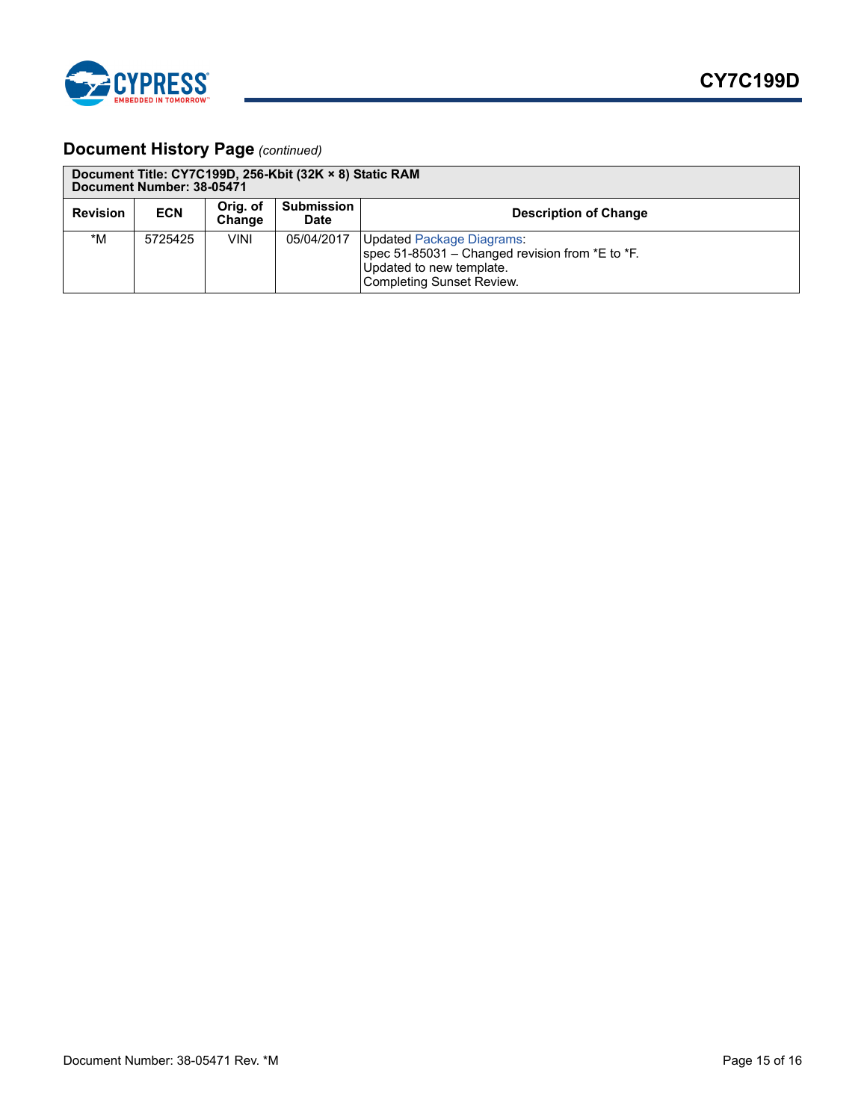

# **Document History Page** *(continued)*

| Document Title: CY7C199D, 256-Kbit (32K × 8) Static RAM<br>Document Number: 38-05471 |            |                    |                                  |                                                                                                                                                 |
|--------------------------------------------------------------------------------------|------------|--------------------|----------------------------------|-------------------------------------------------------------------------------------------------------------------------------------------------|
| <b>Revision</b>                                                                      | <b>ECN</b> | Orig. of<br>Change | <b>Submission</b><br><b>Date</b> | <b>Description of Change</b>                                                                                                                    |
| *M                                                                                   | 5725425    | VINI               | 05/04/2017                       | <b>Updated Package Diagrams:</b><br>spec 51-85031 – Changed revision from $E$ to $E$ .<br>Updated to new template.<br>Completing Sunset Review. |